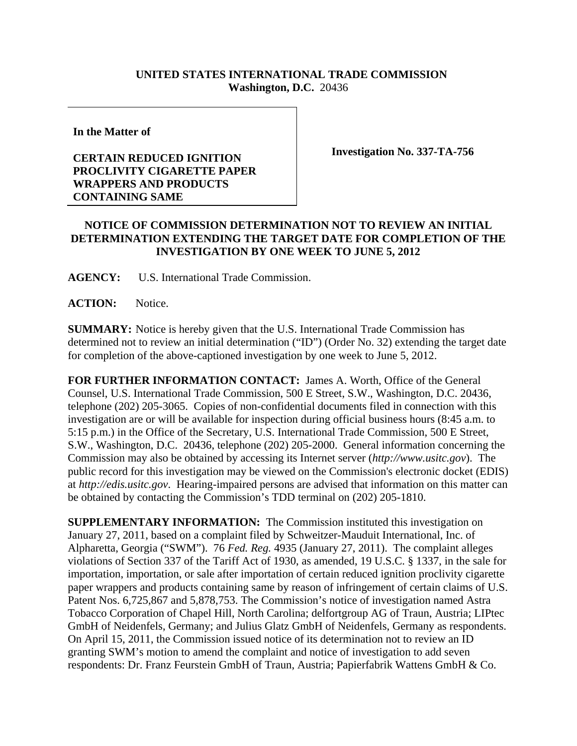## **UNITED STATES INTERNATIONAL TRADE COMMISSION Washington, D.C.** 20436

**In the Matter of** 

## **CERTAIN REDUCED IGNITION PROCLIVITY CIGARETTE PAPER WRAPPERS AND PRODUCTS CONTAINING SAME**

**Investigation No. 337-TA-756** 

## **NOTICE OF COMMISSION DETERMINATION NOT TO REVIEW AN INITIAL DETERMINATION EXTENDING THE TARGET DATE FOR COMPLETION OF THE INVESTIGATION BY ONE WEEK TO JUNE 5, 2012**

**AGENCY:** U.S. International Trade Commission.

ACTION: Notice.

**SUMMARY:** Notice is hereby given that the U.S. International Trade Commission has determined not to review an initial determination ("ID") (Order No. 32) extending the target date for completion of the above-captioned investigation by one week to June 5, 2012.

**FOR FURTHER INFORMATION CONTACT:** James A. Worth, Office of the General Counsel, U.S. International Trade Commission, 500 E Street, S.W., Washington, D.C. 20436, telephone (202) 205-3065. Copies of non-confidential documents filed in connection with this investigation are or will be available for inspection during official business hours (8:45 a.m. to 5:15 p.m.) in the Office of the Secretary, U.S. International Trade Commission, 500 E Street, S.W., Washington, D.C. 20436, telephone (202) 205-2000. General information concerning the Commission may also be obtained by accessing its Internet server (*http://www.usitc.gov*). The public record for this investigation may be viewed on the Commission's electronic docket (EDIS) at *http://edis.usitc.gov*. Hearing-impaired persons are advised that information on this matter can be obtained by contacting the Commission's TDD terminal on (202) 205-1810.

**SUPPLEMENTARY INFORMATION:** The Commission instituted this investigation on January 27, 2011, based on a complaint filed by Schweitzer-Mauduit International, Inc. of Alpharetta, Georgia ("SWM"). 76 *Fed. Reg.* 4935 (January 27, 2011). The complaint alleges violations of Section 337 of the Tariff Act of 1930, as amended, 19 U.S.C. § 1337, in the sale for importation, importation, or sale after importation of certain reduced ignition proclivity cigarette paper wrappers and products containing same by reason of infringement of certain claims of U.S. Patent Nos. 6,725,867 and 5,878,753. The Commission's notice of investigation named Astra Tobacco Corporation of Chapel Hill, North Carolina; delfortgroup AG of Traun, Austria; LIPtec GmbH of Neidenfels, Germany; and Julius Glatz GmbH of Neidenfels, Germany as respondents. On April 15, 2011, the Commission issued notice of its determination not to review an ID granting SWM's motion to amend the complaint and notice of investigation to add seven respondents: Dr. Franz Feurstein GmbH of Traun, Austria; Papierfabrik Wattens GmbH & Co.